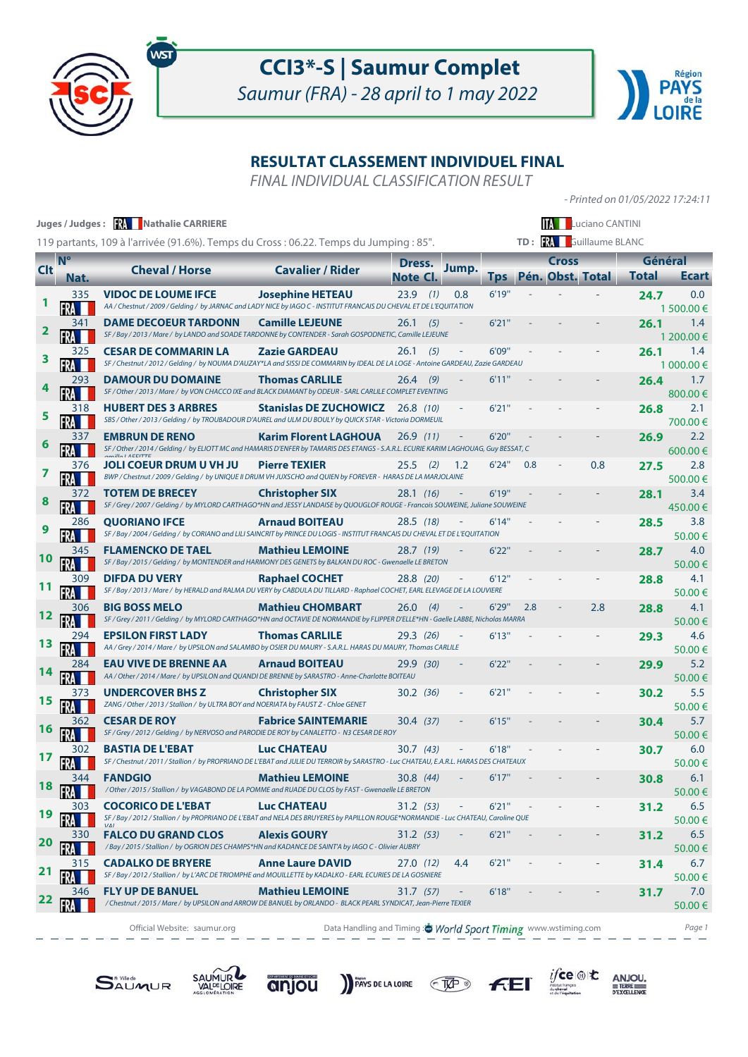

# **CCI3\*-S | Saumur Complet**

Saumur (FRA) - 28 april to 1 may 2022



### **RESULTAT CLASSEMENT INDIVIDUEL FINAL**

FINAL INDIVIDUAL CLASSIFICATION RESULT

- Printed on 01/05/2022 17:24:11

 $i$ fce

 $F<sub>E</sub>$ 

 $\underset{\text{pexcillence}}{\text{ANJOU}}$ 

|            |                | Juges / Judges: <b>XX</b> Nathalie CARRIERE                                                                                                                     |                                                                |                 |       |            |     |                  | <b>Luciano CANTINI</b> |              |                   |
|------------|----------------|-----------------------------------------------------------------------------------------------------------------------------------------------------------------|----------------------------------------------------------------|-----------------|-------|------------|-----|------------------|------------------------|--------------|-------------------|
|            |                | 119 partants, 109 à l'arrivée (91.6%). Temps du Cross : 06.22. Temps du Jumping : 85".                                                                          |                                                                |                 |       |            |     |                  | TD: RA Guillaume BLANC |              |                   |
|            | N <sup>o</sup> |                                                                                                                                                                 |                                                                | Dress.          |       |            |     | Cross            |                        | Général      |                   |
| <b>Clt</b> | Nat.           | <b>Cheval / Horse</b>                                                                                                                                           | <b>Cavalier / Rider</b>                                        | <b>Note Cl.</b> | Jump. | <b>Tps</b> |     | Pén. Obst. Total |                        | <b>Total</b> | Ecart             |
|            | 335            | <b>VIDOC DE LOUME IFCE</b><br>AA / Chestnut / 2009 / Gelding / by JARNAC and LADY NICE by IAGO C - INSTITUT FRANCAIS DU CHEVAL ET DE L'EQUITATION               | <b>Josephine HETEAU</b>                                        | $23.9$ (1)      | 0.8   | 6'19''     |     |                  |                        | 24.7         | 0.0<br>1 500.00 € |
| 2          | 341            | <b>DAME DECOEUR TARDONN</b><br>SF / Bay / 2013 / Mare / by LANDO and SOADE TARDONNE by CONTENDER - Sarah GOSPODNETIC, Camille LEJEUNE                           | <b>Camille LEJEUNE</b>                                         | (5)<br>26.1     |       | 6'21''     |     |                  |                        | 26.1         | 1.4<br>1 200.00 € |
| 3          | 325            | <b>CESAR DE COMMARIN LA</b><br>SF / Chestnut / 2012 / Gelding / by NOUMA D'AUZAY*LA and SISSI DE COMMARIN by IDEAL DE LA LOGE - Antoine GARDEAU, Zazie GARDEAU  | <b>Zazie GARDEAU</b>                                           | 26.1<br>(5)     |       | 6'09"      |     |                  |                        | 26.1         | 1.4<br>1 000.00 € |
|            | 293            | <b>DAMOUR DU DOMAINE</b><br>SF / Other / 2013 / Mare / by VON CHACCO IXE and BLACK DIAMANT by ODEUR - SARL CARLILE COMPLET EVENTING                             | <b>Thomas CARLILE</b>                                          | (9)<br>26.4     |       | 6'11"      |     |                  |                        | 26.4         | 1.7<br>800.00€    |
| 5          | 318            | <b>HUBERT DES 3 ARBRES</b><br>SBS / Other / 2013 / Gelding / by TROUBADOUR D'AUREL and ULM DU BOULY by QUICK STAR - Victoria DORMEUIL                           | <b>Stanislas DE ZUCHOWICZ</b> 26.8 (10)                        |                 |       | 6'21''     |     |                  |                        | 26.8         | 2.1<br>700.00€    |
| 6          | 337            | <b>EMBRUN DE RENO</b><br>SF / Other / 2014 / Gelding / by ELIOTT MC and HAMARIS D'ENFER by TAMARIS DES ETANGS - S.A.R.L. ECURIE KARIM LAGHOUAG, Guy BESSAT, C   | <b>Karim Florent LAGHOUA</b>                                   | 26.9(11)        |       | 6'20''     |     |                  |                        | 26.9         | 2.2<br>600.00€    |
|            | 376            | <b>JOLI COEUR DRUM U VH JU</b><br>BWP / Chestnut / 2009 / Gelding / by UNIQUE II DRUM VH JUXSCHO and QUIEN by FOREVER - HARAS DE LA MARJOLAINE                  | <b>Pierre TEXIER</b>                                           | 25.5<br>(2)     | 1.2   | 6'24"      | 0.8 |                  | 0.8                    | 27.5         | 2.8<br>500.00€    |
|            | 372            | <b>TOTEM DE BRECEY</b><br>SF / Grey / 2007 / Gelding / by MYLORD CARTHAGO*HN and JESSY LANDAISE by QUOUGLOF ROUGE - Francois SOUWEINE, Juliane SOUWEINE         | <b>Christopher SIX</b>                                         | 28.1 (16)       |       | 6'19''     |     |                  |                        | 28.1         | 3.4<br>450.00€    |
|            | 286            | <b>QUORIANO IFCE</b><br>SF / Bay / 2004 / Gelding / by CORIANO and LILI SAINCRIT by PRINCE DU LOGIS - INSTITUT FRANCAIS DU CHEVAL ET DE L'EQUITATION            | <b>Arnaud BOITEAU</b>                                          | 28.5 (18)       |       | 6'14"      |     |                  |                        | 28.5         | 3.8<br>50.00€     |
| 10         | 345            | <b>FLAMENCKO DE TAEL</b><br>SF / Bay / 2015 / Gelding / by MONTENDER and HARMONY DES GENETS by BALKAN DU ROC - Gwenaelle LE BRETON                              | <b>Mathieu LEMOINE</b>                                         | 28.7 (19)       |       | 6'22"      |     |                  |                        | 28.7         | 4.0<br>50.00€     |
|            | 309            | <b>DIFDA DU VERY</b><br>SF / Bay / 2013 / Mare / by HERALD and RALMA DU VERY by CABDULA DU TILLARD - Raphael COCHET, EARL ELEVAGE DE LA LOUVIERE                | <b>Raphael COCHET</b>                                          | 28.8 (20)       |       | 6'12"      |     |                  |                        | 28.8         | 4.1<br>50.00€     |
|            | 306            | <b>BIG BOSS MELO</b><br>SF / Grey / 2011 / Gelding / by MYLORD CARTHAGO*HN and OCTAVIE DE NORMANDIE by FLIPPER D'ELLE*HN - Gaelle LABBE, Nicholas MARRA         | <b>Mathieu CHOMBART</b>                                        | 26.0<br>(4)     |       | 6'29"      | 2.8 |                  | 2.8                    | 28.8         | 4.1<br>50.00€     |
| 15         | 294            | <b>EPSILON FIRST LADY</b><br>AA / Grey / 2014 / Mare / by UPSILON and SALAMBO by OSIER DU MAURY - S.A.R.L. HARAS DU MAURY, Thomas CARLILE                       | <b>Thomas CARLILE</b>                                          | 29.3 (26)       |       | 6'13"      |     |                  |                        | 29.3         | 4.6<br>50.00€     |
|            | 284            | <b>EAU VIVE DE BRENNE AA</b><br>AA / Other / 2014 / Mare / by UPSILON and QUANDI DE BRENNE by SARASTRO - Anne-Charlotte BOITEAU                                 | <b>Arnaud BOITEAU</b>                                          | 29.9 (30)       |       | 6'22"      |     |                  |                        | 29.9         | 5.2<br>50.00€     |
|            | 373            | <b>UNDERCOVER BHS Z</b><br>ZANG / Other / 2013 / Stallion / by ULTRA BOY and NOERIATA by FAUST Z - Chloe GENET                                                  | <b>Christopher SIX</b>                                         | 30.2(36)        |       | 6'21''     |     |                  |                        | 30.2         | 5.5<br>50.00€     |
|            | 362            | <b>CESAR DE ROY</b><br>SF / Grey / 2012 / Gelding / by NERVOSO and PARODIE DE ROY by CANALETTO - N3 CESAR DE ROY                                                | <b>Fabrice SAINTEMARIE</b>                                     | 30.4 (37)       |       | 6'15"      |     |                  |                        | 30.4         | 5.7<br>50.00€     |
|            | 302            | <b>BASTIA DE L'EBAT</b><br>SF / Chestnut / 2011 / Stallion / by PROPRIANO DE L'EBAT and JULIE DU TERROIR by SARASTRO - Luc CHATEAU, E.A.R.L. HARAS DES CHATEAUX | <b>Luc CHATEAU</b>                                             | 30.7(43)        |       | 6'18"      |     |                  |                        | 30.7         | 6.0<br>50.00€     |
| 18         | 344            | <b>FANDGIO</b><br>/ Other / 2015 / Stallion / by VAGABOND DE LA POMME and RUADE DU CLOS by FAST - Gwenaelle LE BRETON                                           | <b>Mathieu LEMOINE</b>                                         | 30.8 (44)       |       | 6'17"      |     |                  |                        | 30.8         | 6.1<br>50.00€     |
| 19         | 303            | <b>COCORICO DE L'EBAT</b><br>SF / Bay / 2012 / Stallion / by PROPRIANO DE L'EBAT and NELA DES BRUYERES by PAPILLON ROUGE*NORMANDIE - Luc CHATEAU, Caroline QUE  | Luc CHATEAU                                                    | 31.2(53)        |       | 6'21''     |     |                  |                        | 31.2         | 6.5<br>50.00€     |
| 20         | 330            | <b>FALCO DU GRAND CLOS</b><br>/ Bay / 2015 / Stallion / by OGRION DES CHAMPS*HN and KADANCE DE SAINT'A by IAGO C - Olivier AUBRY                                | <b>Alexis GOURY</b>                                            | 31.2(53)        |       | 6'21''     |     |                  |                        | 31.2         | 6.5<br>50.00€     |
| 21         | 315            | <b>CADALKO DE BRYERE</b><br>SF / Bay / 2012 / Stallion / by L'ARC DE TRIOMPHE and MOUILLETTE by KADALKO - EARL ECURIES DE LA GOSNIERE                           | <b>Anne Laure DAVID</b>                                        | 27.0 (12)       | 4.4   | 6'21''     |     |                  |                        | 31.4         | 6.7<br>50.00€     |
| 22         | 346            | <b>FLY UP DE BANUEL</b><br>/ Chestnut / 2015 / Mare / by UPSILON and ARROW DE BANUEL by ORLANDO - BLACK PEARL SYNDICAT, Jean-Pierre TEXIER                      | <b>Mathieu LEMOINE</b>                                         | 31.7 (57)       |       | 6'18"      |     |                  |                        | 31.7         | 7.0<br>50.00€     |
|            |                | Official Website: saumur.org                                                                                                                                    | Data Handling and Timing : World Sport Timing www.wstiming.com |                 |       |            |     |                  |                        |              | Page 1            |



**SAUMUR** 

anjou

PAYS DE LA LOIRE TAP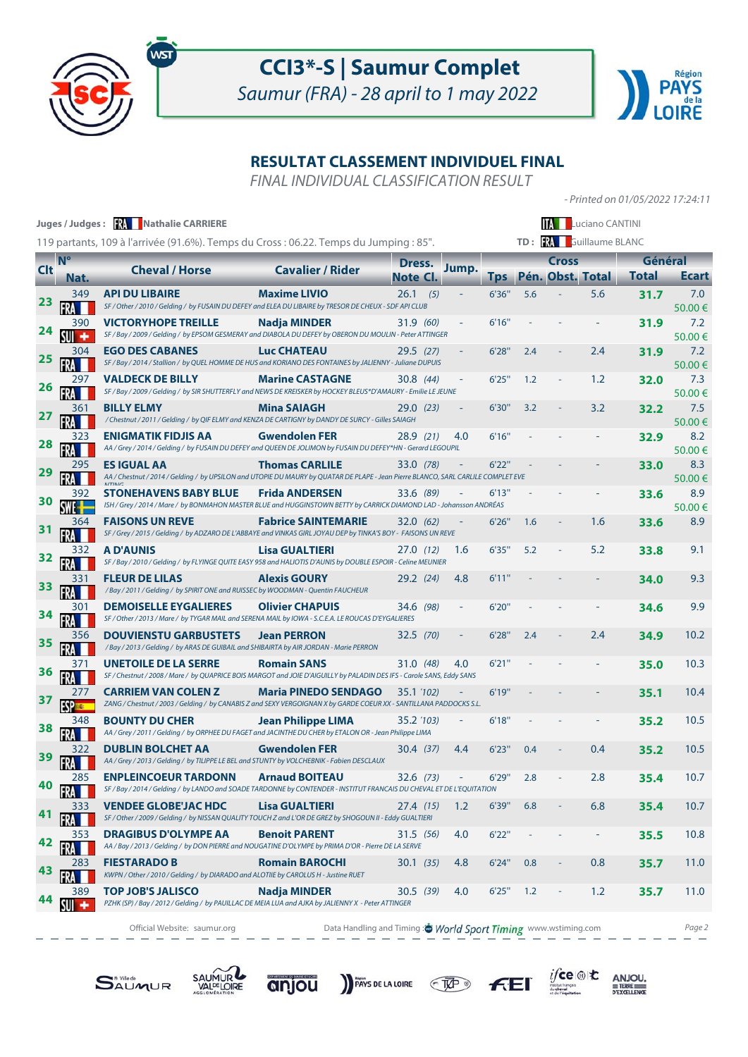



- Printed on 01/05/2022 17:24:11

 $i$ fce

 $F<sub>E</sub>$ 

 $\underset{\text{pexcillence}}{\text{ANJOU}}$ 

### **RESULTAT CLASSEMENT INDIVIDUEL FINAL**

FINAL INDIVIDUAL CLASSIFICATION RESULT

|            |             | Juges / Judges: <b>KA Nathalie CARRIERE</b><br>119 partants, 109 à l'arrivée (91.6%). Temps du Cross : 06.22. Temps du Jumping : 85".                   |                                                               |             |       |            |     |                  | <b>IM</b> Luciano CANTINI<br>TD: <b>RA</b> Guillaume BLANC |              |               |
|------------|-------------|---------------------------------------------------------------------------------------------------------------------------------------------------------|---------------------------------------------------------------|-------------|-------|------------|-----|------------------|------------------------------------------------------------|--------------|---------------|
|            | $N^{\circ}$ |                                                                                                                                                         |                                                               | Dress.      | Jump. |            |     | <b>Cross</b>     |                                                            | Général      |               |
| <b>Clt</b> | Nat.        | <b>Cheval / Horse</b>                                                                                                                                   | <b>Cavalier / Rider</b>                                       | Note CI.    |       | <b>Tps</b> |     | Pén. Obst. Total |                                                            | <b>Total</b> | <b>Ecart</b>  |
| 23         | 349         | <b>API DU LIBAIRE</b><br>SF / Other / 2010 / Gelding / by FUSAIN DU DEFEY and ELEA DU LIBAIRE by TRESOR DE CHEUX - SDF API CLUB                         | <b>Maxime LIVIO</b>                                           | $26.1$ (5)  |       | 6'36'      | 5.6 |                  | 5.6                                                        | 31.7         | 7.0<br>50.00€ |
| 24         | 390         | <b>VICTORYHOPE TREILLE</b><br>SF / Bay / 2009 / Gelding / by EPSOM GESMERAY and DIABOLA DU DEFEY by OBERON DU MOULIN - Peter ATTINGER                   | Nadja MINDER                                                  | 31.9 (60)   |       | 6'16''     |     |                  |                                                            | 31.9         | 7.2<br>50.00€ |
| 25         | 304         | <b>EGO DES CABANES</b><br>SF / Bay / 2014 / Stallion / by QUEL HOMME DE HUS and KORIANO DES FONTAINES by JALIENNY - Juliane DUPUIS                      | <b>Luc CHATEAU</b>                                            | $29.5$ (27) |       | 6'28''     | 2.4 |                  | 2.4                                                        | 31.9         | 7.2<br>50.00€ |
| 26         | 297         | <b>VALDECK DE BILLY</b><br>SF / Bay / 2009 / Gelding / by SIR SHUTTERFLY and NEWS DE KREISKER by HOCKEY BLEUS*D'AMAURY - Emilie LE JEUNE                | <b>Marine CASTAGNE</b>                                        | 30.8(44)    |       | 6'25''     | 1.2 |                  | 1.2                                                        | 32.0         | 7.3<br>50.00€ |
| 27         | 361         | <b>BILLY ELMY</b><br>/ Chestnut / 2011 / Gelding / by QIF ELMY and KENZA DE CARTIGNY by DANDY DE SURCY - Gilles SAIAGH                                  | <b>Mina SAIAGH</b>                                            | 29.0(23)    |       | 6'30''     | 3.2 |                  | 3.2                                                        | 32.2         | 7.5<br>50.00€ |
| 28         | 323         | ENIGMATIK FIDJIS AA<br>AA / Grey / 2014 / Gelding / by FUSAIN DU DEFEY and QUEEN DE JOLIMON by FUSAIN DU DEFEY*HN - Gerard LEGOUPIL                     | <b>Gwendolen FER</b>                                          | 28.9(21)    | 4.0   | 6'16''     |     |                  |                                                            | 32.9         | 8.2<br>50.00€ |
| 29         | 295         | <b>ES IGUAL AA</b><br>AA / Chestnut / 2014 / Gelding / by UPSILON and UTOPIE DU MAURY by QUATAR DE PLAPE - Jean Pierre BLANCO, SARL CARLILE COMPLET EVE | <b>Thomas CARLILE</b>                                         | 33.0 (78)   |       | 6'22"      |     |                  |                                                            | 33.0         | 8.3<br>50.00€ |
| 30         | 392         | <b>STONEHAVENS BABY BLUE</b><br>ISH / Grey / 2014 / Mare / by BONMAHON MASTER BLUE and HUGGINSTOWN BETTY by CARRICK DIAMOND LAD - Johansson ANDRÉAS     | <b>Frida ANDERSEN</b>                                         | 33.6 (89)   |       | 6'13"      |     |                  |                                                            | 33.6         | 8.9<br>50.00€ |
|            | 364         | <b>FAISONS UN REVE</b><br>SF / Grey / 2015 / Gelding / by ADZARO DE L'ABBAYE and VINKAS GIRL JOYAU DEP by TINKA'S BOY - FAISONS UN REVE                 | <b>Fabrice SAINTEMARIE</b>                                    | 32.0(62)    |       | 6'26''     | 1.6 |                  | 1.6                                                        | 33.6         | 8.9           |
|            | 332         | A D'AUNIS<br>SF / Bay / 2010 / Gelding / by FLYINGE QUITE EASY 958 and HALIOTIS D'AUNIS by DOUBLE ESPOIR - Celine MEUNIER                               | <b>Lisa GUALTIERI</b>                                         | 27.0(12)    | 1.6   | 6'35"      | 5.2 |                  | 5.2                                                        | 33.8         | 9.1           |
| 33         | 331         | <b>FLEUR DE LILAS</b><br>/ Bay / 2011 / Gelding / by SPIRIT ONE and RUISSEC by WOODMAN - Quentin FAUCHEUR                                               | <b>Alexis GOURY</b>                                           | 29.2(24)    | 4.8   | 6'11"      |     |                  |                                                            | 34.0         | 9.3           |
|            |             | <b>DEMOISELLE EYGALIERES</b><br>SF / Other / 2013 / Mare / by TYGAR MAIL and SERENA MAIL by IOWA - S.C.E.A. LE ROUCAS D'EYGALIERES                      | <b>Olivier CHAPUIS</b>                                        | 34.6 (98)   |       | 6'20''     |     |                  |                                                            | 34.6         | 9.9           |
| 35         | 356         | <b>DOUVIENSTU GARBUSTETS</b><br>/Bay / 2013 / Gelding / by ARAS DE GUIBAIL and SHIBAIRTA by AIR JORDAN - Marie PERRON                                   | <b>Jean PERRON</b>                                            | 32.5 (70)   |       | 6'28''     | 2.4 |                  | 2.4                                                        | 34.9         | 10.2          |
| 36         |             | UNETOILE DE LA SERRE<br>SF / Chestnut / 2008 / Mare / by QUAPRICE BOIS MARGOT and JOIE D'AIGUILLY by PALADIN DES IFS - Carole SANS, Eddy SANS           | <b>Romain SANS</b>                                            | 31.0 (48)   | 4.0   | 6'21''     |     |                  |                                                            | 35.0         | 10.3          |
| 37         | 277         | CARRIEM VAN COLEN Z<br>ZANG / Chestnut / 2003 / Gelding / by CANABIS Z and SEXY VERGOIGNAN X by GARDE COEUR XX - SANTILLANA PADDOCKS S.L.               | <b>Maria PINEDO SENDAGO</b>                                   | 35.1 (102)  |       | 6'19"      |     |                  |                                                            | 35.1         | 10.4          |
| 38         |             | <b>BOUNTY DU CHER</b><br>AA / Grey / 2011 / Gelding / by ORPHEE DU FAGET and JACINTHE DU CHER by ETALON OR - Jean Philippe LIMA                         | <b>Jean Philippe LIMA</b>                                     | 35.2 (103)  |       | 6'18"      |     |                  |                                                            | 35.2         | 10.5          |
|            |             | <b>DUBLIN BOLCHET AA</b><br>AA / Grey / 2013 / Gelding / by TILIPPE LE BEL and STUNTY by VOLCHEBNIK - Fabien DESCLAUX                                   | <b>Gwendolen FER</b>                                          | 30.4(37)    | 4.4   | 6'23"      | 0.4 |                  | 0.4                                                        | 35.2         | 10.5          |
| 40         | 285         | <b>ENPLEINCOEUR TARDONN</b><br>SF / Bay / 2014 / Gelding / by LANDO and SOADE TARDONNE by CONTENDER - INSTITUT FRANCAIS DU CHEVAL ET DE L'EQUITATION    | <b>Arnaud BOITEAU</b>                                         | 32.6 (73)   |       | 6'29"      | 2.8 |                  | 2.8                                                        | 35.4         | 10.7          |
| 41         | 333         | <b>VENDEE GLOBE'JAC HDC</b><br>SF / Other / 2009 / Gelding / by NISSAN QUALITY TOUCH Z and L'OR DE GREZ by SHOGOUN II - Eddy GUALTIERI                  | <b>Lisa GUALTIERI</b>                                         | 27.4 (15)   | 1.2   | 6'39"      | 6.8 |                  | 6.8                                                        | 35.4         | 10.7          |
| 42         | 353         | <b>DRAGIBUS D'OLYMPE AA</b><br>AA / Bay / 2013 / Gelding / by DON PIERRE and NOUGATINE D'OLYMPE by PRIMA D'OR - Pierre DE LA SERVE                      | <b>Benoit PARENT</b>                                          | 31.5 (56)   | 4.0   | 6'22"      |     |                  |                                                            | 35.5         | 10.8          |
| 43         | 283         | <b>FIESTARADO B</b><br>KWPN / Other / 2010 / Gelding / by DIARADO and ALOTIIE by CAROLUS H - Justine RUET                                               | <b>Romain BAROCHI</b>                                         | 30.1(35)    | 4.8   | 6'24''     | 0.8 | $\blacksquare$   | 0.8                                                        | 35.7         | 11.0          |
|            | 389         | <b>TOP JOB'S JALISCO</b><br>PZHK (SP) / Bay / 2012 / Gelding / by PAUILLAC DE MEIA LUA and AJKA by JALIENNY X - Peter ATTINGER                          | <b>Nadja MINDER</b>                                           | 30.5(39)    | 4.0   | 6'25"      | 1.2 | ÷                | 1.2                                                        | 35.7         | 11.0          |
|            |             | Official Website: saumur.org                                                                                                                            | Data Handling and Timing: World Sport Timing www.wstiming.com |             |       |            |     |                  |                                                            |              | Page 2        |

PAYS DE LA LOIRE TAP



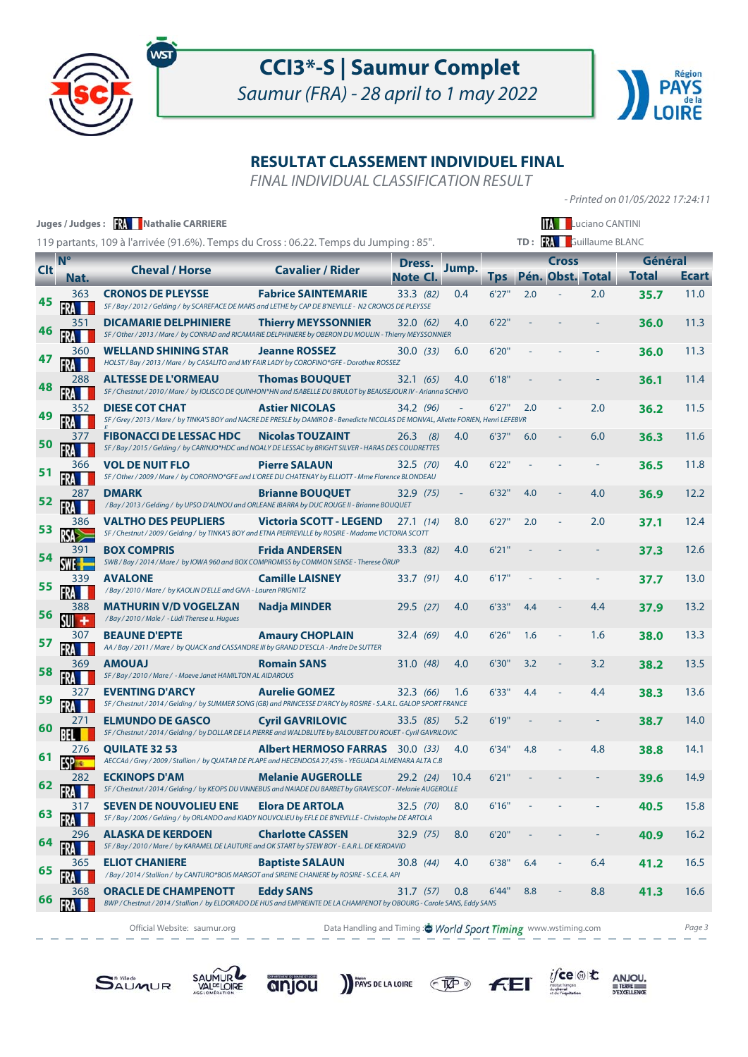



- Printed on 01/05/2022 17:24:11

#### **RESULTAT CLASSEMENT INDIVIDUEL FINAL**

FINAL INDIVIDUAL CLASSIFICATION RESULT

|            |                     | Juges / Judges: <b>XX</b> Nathalie CARRIERE<br>119 partants, 109 à l'arrivée (91.6%). Temps du Cross : 06.22. Temps du Jumping : 85".                          |                                                               |                    |                          |            |     |                                  | <b>TA ELUCIANO CANTINI</b><br>TD: <b>RA</b> Guillaume BLANC |                         |              |
|------------|---------------------|----------------------------------------------------------------------------------------------------------------------------------------------------------------|---------------------------------------------------------------|--------------------|--------------------------|------------|-----|----------------------------------|-------------------------------------------------------------|-------------------------|--------------|
| <b>Clt</b> | $N^{\circ}$<br>Nat. | <b>Cheval / Horse</b>                                                                                                                                          | <b>Cavalier / Rider</b>                                       | Dress.<br>Note Cl. | Jump.                    | <b>Tps</b> |     | <b>Cross</b><br>Pén. Obst. Total |                                                             | Général<br><b>Total</b> | <b>Ecart</b> |
| 45         | 363                 | <b>CRONOS DE PLEYSSE</b><br>SF / Bay / 2012 / Gelding / by SCAREFACE DE MARS and LETHE by CAP DE B'NEVILLE - N2 CRONOS DE PLEYSSE                              | <b>Fabrice SAINTEMARIE</b>                                    | 33.3 (82)          | 0.4                      | 6'27''     | 2.0 |                                  | 2.0                                                         | 35.7                    | 11.0         |
| 46         | 351                 | <b>DICAMARIE DELPHINIERE</b><br>SF / Other / 2013 / Mare / by CONRAD and RICAMARIE DELPHINIERE by OBERON DU MOULIN - Thierry MEYSSONNIER                       | <b>Thierry MEYSSONNIER</b>                                    | 32.0(62)           | 4.0                      | 6'22"      |     |                                  |                                                             | 36.0                    | 11.3         |
|            | 360                 | <b>WELLAND SHINING STAR</b><br>HOLST / Bay / 2013 / Mare / by CASALITO and MY FAIR LADY by COROFINO*GFE - Dorothee ROSSEZ                                      | <b>Jeanne ROSSEZ</b>                                          | 30.0(33)           | 6.0                      | 6'20"      |     |                                  |                                                             | 36.0                    | 11.3         |
| 48         | 288                 | <b>ALTESSE DE L'ORMEAU</b><br>SF / Chestnut / 2010 / Mare / by IOLISCO DE QUINHON*HN and ISABELLE DU BRULOT by BEAUSEJOUR IV - Arianna SCHIVO                  | <b>Thomas BOUQUET</b>                                         | 32.1(65)           | 4.0                      | 6'18''     |     |                                  |                                                             | 36.1                    | 11.4         |
| 49         | 352                 | <b>DIESE COT CHAT</b><br>SF / Grey / 2013 / Mare / by TINKA'S BOY and NACRE DE PRESLE by DAMIRO B - Benedicte NICOLAS DE MONVAL, Aliette FORIEN, Henri LEFEBVR | <b>Astier NICOLAS</b>                                         | 34.2 (96)          |                          | 6'27"      | 2.0 |                                  | 2.0                                                         | 36.2                    | 11.5         |
| 50         | 377                 | <b>FIBONACCI DE LESSAC HDC</b><br>SF / Bay / 2015 / Gelding / by CARINJO*HDC and NOALY DE LESSAC by BRIGHT SILVER - HARAS DES COUDRETTES                       | <b>Nicolas TOUZAINT</b>                                       | $26.3$ (8)         | 4.0                      | 6'37"      | 6.0 |                                  | 6.0                                                         | 36.3                    | 11.6         |
| 51         | 366                 | <b>VOL DE NUIT FLO</b><br>SF / Other / 2009 / Mare / by COROFINO*GFE and L'OREE DU CHATENAY by ELLIOTT - Mme Florence BLONDEAU                                 | <b>Pierre SALAUN</b>                                          | 32.5 (70)          | 4.0                      | 6'22"      |     |                                  |                                                             | 36.5                    | 11.8         |
| 52         | 287                 | <b>DMARK</b><br>/ Bay / 2013 / Gelding / by UPSO D'AUNOU and ORLEANE IBARRA by DUC ROUGE II - Brianne BOUQUET                                                  | <b>Brianne BOUQUET</b>                                        | 32.9 (75)          | $\overline{\phantom{a}}$ | 6'32"      | 4.0 |                                  | 4.0                                                         | 36.9                    | 12.2         |
| 53         | 386                 | <b>VALTHO DES PEUPLIERS</b><br>SF / Chestnut / 2009 / Gelding / by TINKA'S BOY and ETNA PIERREVILLE by ROSIRE - Madame VICTORIA SCOTT                          | <b>Victoria SCOTT - LEGEND</b>                                | 27.1(14)           | 8.0                      | 6'27''     | 2.0 |                                  | 2.0                                                         | 37.1                    | 12.4         |
|            | 391                 | <b>BOX COMPRIS</b><br>SWB / Bay / 2014 / Mare / by IOWA 960 and BOX COMPROMISS by COMMON SENSE - Therese ÖRUP                                                  | <b>Frida ANDERSEN</b>                                         | 33.3 (82)          | 4.0                      | 6'21''     |     |                                  |                                                             | 37.3                    | 12.6         |
| 55         | 339                 | <b>AVALONE</b><br>/ Bay / 2010 / Mare / by KAOLIN D'ELLE and GIVA - Lauren PRIGNITZ                                                                            | <b>Camille LAISNEY</b>                                        | 33.7(91)           | 4.0                      | 6'17"      |     |                                  |                                                             | 37.7                    | 13.0         |
| 56         | 388                 | <b>MATHURIN V/D VOGELZAN</b><br>/ Bay / 2010 / Male / - Lüdi Therese u. Hugues                                                                                 | <b>Nadja MINDER</b>                                           | 29.5 (27)          | 4.0                      | 6'33"      | 4.4 |                                  | 4.4                                                         | 37.9                    | 13.2         |
| 57         | 307                 | <b>BEAUNE D'EPTE</b><br>AA / Bay / 2011 / Mare / by QUACK and CASSANDRE III by GRAND D'ESCLA - Andre De SUTTER                                                 | <b>Amaury CHOPLAIN</b>                                        | 32.4 (69)          | 4.0                      | 6'26''     | 1.6 |                                  | 1.6                                                         | 38.0                    | 13.3         |
| 58         | 369                 | <b>LAUOMA</b><br>SF / Bay / 2010 / Mare / - Maeve Janet HAMILTON AL AIDAROUS                                                                                   | <b>Romain SANS</b>                                            | 31.0 (48)          | 4.0                      | 6'30"      | 3.2 |                                  | 3.2                                                         | 38.2                    | 13.5         |
| 59         | 327                 | <b>EVENTING D'ARCY</b><br>SF / Chestnut / 2014 / Gelding / by SUMMER SONG (GB) and PRINCESSE D'ARCY by ROSIRE - S.A.R.L. GALOP SPORT FRANCE                    | <b>Aurelie GOMEZ</b>                                          | 32.3 (66)          | 1.6                      | 6'33"      | 4.4 |                                  | 4.4                                                         | 38.3                    | 13.6         |
| 60         |                     | <b>ELMUNDO DE GASCO</b><br>SF / Chestnut / 2014 / Gelding / by DOLLAR DE LA PIERRE and WALDBLUTE by BALOUBET DU ROUET - Cyril GAVRILOVIC                       | <b>Cyril GAVRILOVIC</b>                                       | 33.5 (85)          | 5.2                      | 6'19''     |     |                                  |                                                             | 38.7                    | 14.0         |
|            |                     | <b>QUILATE 32 53</b><br>AECCAá / Grey / 2009 / Stallion / by QUATAR DE PLAPE and HECENDOSA 27,45% - YEGUADA ALMENARA ALTA C.B                                  | <b>Albert HERMOSO FARRAS</b> 30.0 (33)                        |                    | 4.0                      | 6'34"      | 4.8 |                                  | 4.8                                                         | 38.8                    | 14.1         |
| 62         | 282                 | <b>ECKINOPS D'AM</b><br>SF / Chestnut / 2014 / Gelding / by KEOPS DU VINNEBUS and NAIADE DU BARBET by GRAVESCOT - Melanie AUGEROLLE                            | <b>Melanie AUGEROLLE</b>                                      | 29.2 (24)          | 10.4                     | 6'21''     |     |                                  |                                                             | 39.6                    | 14.9         |
| 63         | 317                 | <b>SEVEN DE NOUVOLIEU ENE</b><br>SF / Bay / 2006 / Gelding / by ORLANDO and KIADY NOUVOLIEU by EFLE DE B'NEVILLE - Christophe DE ARTOLA                        | <b>Elora DE ARTOLA</b>                                        | 32.5 (70)          | 8.0                      | 6'16''     |     |                                  |                                                             | 40.5                    | 15.8         |
| 64         | 296                 | ALASKA DE KERDOEN<br>SF / Bay / 2010 / Mare / by KARAMEL DE LAUTURE and OK START by STEW BOY - E.A.R.L. DE KERDAVID                                            | <b>Charlotte CASSEN</b>                                       | 32.9 (75)          | 8.0                      | 6'20''     |     |                                  |                                                             | 40.9                    | 16.2         |
| 65         | 365                 | <b>ELIOT CHANIERE</b><br>/Bay / 2014 / Stallion / by CANTURO*BOIS MARGOT and SIREINE CHANIERE by ROSIRE - S.C.E.A. API                                         | <b>Baptiste SALAUN</b>                                        | 30.8 (44)          | 4.0                      | 6'38"      | 6.4 |                                  | 6.4                                                         | 41.2                    | 16.5         |
|            | 368                 | ORACLE DE CHAMPENOTT<br>BWP / Chestnut / 2014 / Stallion / by ELDORADO DE HUS and EMPREINTE DE LA CHAMPENOT by OBOURG - Carole SANS, Eddy SANS                 | <b>Eddy SANS</b>                                              | 31.7 (57)          | 0.8                      | 6'44"      | 8.8 |                                  | 8.8                                                         | 41.3                    | 16.6         |
|            |                     | Official Website: saumur.org                                                                                                                                   | Data Handling and Timing: World Sport Timing www.wstiming.com |                    |                          |            |     |                                  |                                                             |                         | Page 3       |

**SAUMUR** 





PAYS DE LA LOIRE TAP



 $i\mathsf{fce} \circledast \mathsf{t}$ 

 $\underset{\text{pexcillence}}{\text{ANJOU}}$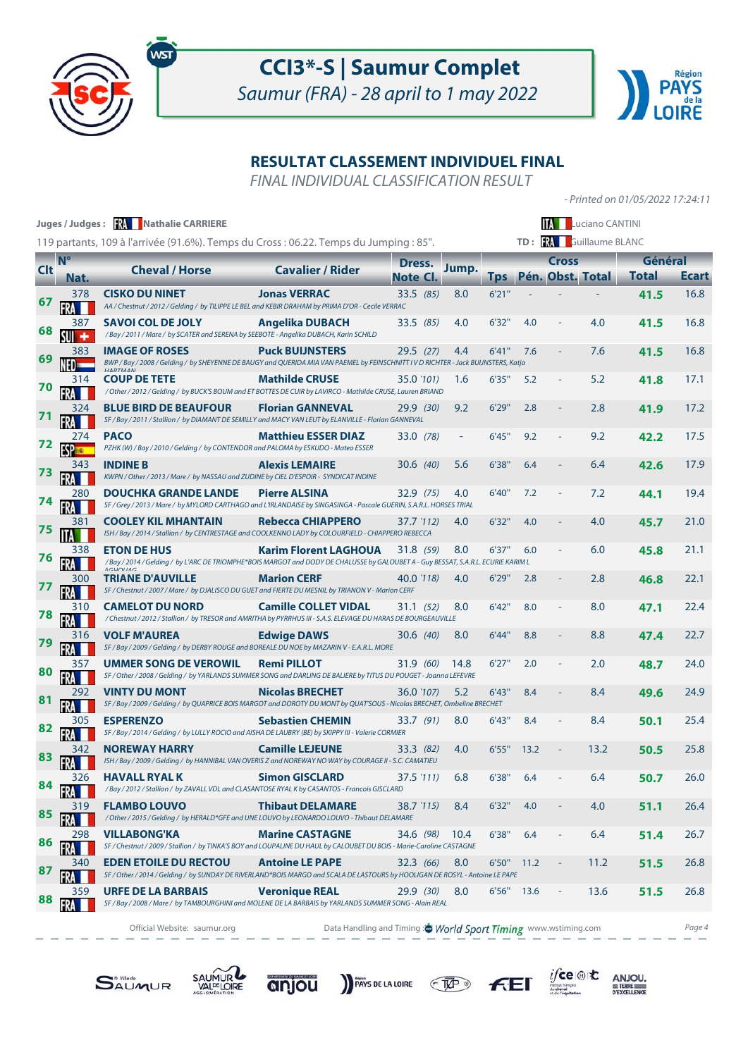



- Printed on 01/05/2022 17:24:11

### **RESULTAT CLASSEMENT INDIVIDUEL FINAL**

FINAL INDIVIDUAL CLASSIFICATION RESULT

|            |           | Juges / Judges: <b>RA</b> Nathalie CARRIERE                                                                                                                                                                                                                              |                              |                 |       |            |            |                  | Luciano CANTINI |              |              |
|------------|-----------|--------------------------------------------------------------------------------------------------------------------------------------------------------------------------------------------------------------------------------------------------------------------------|------------------------------|-----------------|-------|------------|------------|------------------|-----------------|--------------|--------------|
|            |           | 119 partants, 109 à l'arrivée (91.6%). Temps du Cross : 06.22. Temps du Jumping : 85".                                                                                                                                                                                   |                              |                 |       |            | TD:        |                  | Guillaume BLANC |              |              |
| <b>Clt</b> | <b>N°</b> | <b>Cheval / Horse</b>                                                                                                                                                                                                                                                    | <b>Cavalier / Rider</b>      | Dress.          | Jump. |            |            | Cross            |                 | Général      |              |
|            | Nat.      |                                                                                                                                                                                                                                                                          |                              | <b>Note CI.</b> |       | <b>Tps</b> |            | Pén. Obst. Total |                 | <b>Total</b> | <b>Ecart</b> |
| 67         | 378       | <b>CISKO DU NINET</b><br>AA / Chestnut / 2012 / Gelding / by TILIPPE LE BEL and KEBIR DRAHAM by PRIMA D'OR - Cecile VERRAC                                                                                                                                               | <b>Jonas VERRAC</b>          | 33.5(85)        | 8.0   | 6'21''     |            |                  |                 | 41.5         | 16.8         |
|            | 387       | <b>SAVOI COL DE JOLY</b><br>/ Bay / 2011 / Mare / by SCATER and SERENA by SEEBOTE - Angelika DUBACH, Karin SCHILD                                                                                                                                                        | <b>Angelika DUBACH</b>       | 33.5(85)        | 4.0   | 6'32"      | 4.0        |                  | 4.0             | 41.5         | 16.8         |
| 69         | 383       | <b>IMAGE OF ROSES</b><br>BWP / Bay / 2008 / Gelding / by SHEYENNE DE BAUGY and QUERIDA MIA VAN PAEMEL by FEINSCHNITT IV D RICHTER - Jack BUIJNSTERS, Katja                                                                                                               | <b>Puck BUIJNSTERS</b>       | 29.5 (27)       | 4.4   | 6'41"      | 7.6        |                  | 7.6             | 41.5         | 16.8         |
|            | 314       | <b>COUP DE TETE</b><br>/ Other / 2012 / Gelding / by BUCK'S BOUM and ET BOTTES DE CUIR by LAVIRCO - Mathilde CRUSE, Lauren BRIAND                                                                                                                                        | <b>Mathilde CRUSE</b>        | 35.0 (101)      | 1.6   | 6'35"      | 5.2        |                  | 5.2             | 41.8         | 17.1         |
|            | 324       | <b>BLUE BIRD DE BEAUFOUR</b><br>SF / Bay / 2011 / Stallion / by DIAMANT DE SEMILLY and MACY VAN LEUT by ELANVILLE - Florian GANNEVAL                                                                                                                                     | <b>Florian GANNEVAL</b>      | 29.9(30)        | 9.2   | 6'29"      | 2.8        |                  | 2.8             | 41.9         | 17.2         |
| 72         | 274       | <b>PACO</b><br>PZHK (W) / Bay / 2010 / Gelding / by CONTENDOR and PALOMA by ESKUDO - Mateo ESSER                                                                                                                                                                         | <b>Matthieu ESSER DIAZ</b>   | 33.0 (78)       |       | 6'45"      | 9.2        |                  | 9.2             | 42.2         | 17.5         |
| 73         | 343       | <b>INDINE B</b><br>KWPN / Other / 2013 / Mare / by NASSAU and ZUDINE by CIEL D'ESPOIR - SYNDICAT INDINE                                                                                                                                                                  | <b>Alexis LEMAIRE</b>        | 30.6(40)        | 5.6   | 6'38"      | 6.4        |                  | 6.4             | 42.6         | 17.9         |
| 74         | 280       | <b>DOUCHKA GRANDE LANDE</b><br>SF / Grey / 2013 / Mare / by MYLORD CARTHAGO and L'IRLANDAISE by SINGASINGA - Pascale GUERIN, S.A.R.L. HORSES TRIAL                                                                                                                       | <b>Pierre ALSINA</b>         | 32.9 (75)       | 4.0   | 6'40"      | 7.2        |                  | 7.2             | 44.1         | 19.4         |
| 75         | 381       | <b>COOLEY KIL MHANTAIN</b><br>ISH / Bay / 2014 / Stallion / by CENTRESTAGE and COOLKENNO LADY by COLOURFIELD - CHIAPPERO REBECCA                                                                                                                                         | <b>Rebecca CHIAPPERO</b>     | 37.7 '112)      | 4.0   | 6'32"      | 4.0        |                  | 4.0             | 45.7         | 21.0         |
| 76         | 338       | <b>ETON DE HUS</b>                                                                                                                                                                                                                                                       | <b>Karim Florent LAGHOUA</b> | 31.8 (59)       | 8.0   | 6'37"      | 6.0        |                  | 6.0             | 45.8         | 21.1         |
|            | 300       | /Bay/2014/Gelding/ by L'ARC DE TRIOMPHE*BOIS MARGOT and DODY DE CHALUSSE by GALOUBET A - Guy BESSAT, S.A.R.L. ECURIE KARIM L<br>ACHOLIAC<br><b>TRIANE D'AUVILLE</b><br>SF / Chestnut / 2007 / Mare / by DJALISCO DU GUET and FIERTE DU MESNIL by TRIANON V - Marion CERF | <b>Marion CERF</b>           | 40.0 '118)      | 4.0   | 6'29"      | 2.8        |                  | 2.8             | 46.8         | 22.1         |
| 78         | 310       | <b>CAMELOT DU NORD</b><br>/ Chestnut / 2012 / Stallion / by TRESOR and AMRITHA by PYRRHUS III - S.A.S. ELEVAGE DU HARAS DE BOURGEAUVILLE                                                                                                                                 | <b>Camille COLLET VIDAL</b>  | 31.1 (52)       | 8.0   | 6'42"      | 8.0        |                  | 8.0             | 47.1         | 22.4         |
|            | 316       | <b>VOLF M'AUREA</b><br>SF / Bay / 2009 / Gelding / by DERBY ROUGE and BOREALE DU NOE by MAZARIN V - E.A.R.L. MORE                                                                                                                                                        | <b>Edwige DAWS</b>           | 30.6(40)        | 8.0   | 6'44"      | 8.8        |                  | 8.8             | 47.4         | 22.7         |
|            | 357       | <b>UMMER SONG DE VEROWIL</b><br>SF / Other / 2008 / Gelding / by YARLANDS SUMMER SONG and DARLING DE BALIERE by TITUS DU POUGET - Joanna LEFEVRE                                                                                                                         | <b>Remi PILLOT</b>           | 31.9 (60)       | 14.8  | 6'27"      | 2.0        |                  | 2.0             | 48.7         | 24.0         |
|            | 292       | <b>VINTY DU MONT</b><br>SF / Bay / 2009 / Gelding / by QUAPRICE BOIS MARGOT and DOROTY DU MONT by QUAT'SOUS - Nicolas BRECHET, Ombeline BRECHET                                                                                                                          | <b>Nicolas BRECHET</b>       | 36.0 '107)      | 5.2   | 6'43''     | 8.4        |                  | 8.4             | 49.6         | 24.9         |
|            | 305       | <b>ESPERENZO</b><br>SF / Bay / 2014 / Gelding / by LULLY ROCIO and AISHA DE LAUBRY (BE) by SKIPPY III - Valerie CORMIER                                                                                                                                                  | <b>Sebastien CHEMIN</b>      | 33.7(91)        | 8.0   | 6'43"      | 8.4        |                  | 8.4             | 50.1         | 25.4         |
| 83         | 342       | <b>NOREWAY HARRY</b><br>ISH / Bay / 2009 / Gelding / by HANNIBAL VAN OVERIS Z and NOREWAY NO WAY by COURAGE II - S.C. CAMATIEU                                                                                                                                           | <b>Camille LEJEUNE</b>       | 33.3(82)        | 4.0   | 6'55"      | 13.2       |                  | 13.2            | 50.5         | 25.8         |
| 84         | 326       | <b>HAVALL RYAL K</b><br>/Bay/2012/Stallion/ by ZAVALL VDL and CLASANTOSE RYAL K by CASANTOS - Francois GISCLARD                                                                                                                                                          | <b>Simon GISCLARD</b>        | 37.5 '111)      | 6.8   | 6'38"      | 6.4        |                  | 6.4             | 50.7         | 26.0         |
| 85         | 319       | <b>FLAMBO LOUVO</b><br>/ Other / 2015 / Gelding / by HERALD*GFE and UNE LOUVO by LEONARDO LOUVO - Thibaut DELAMARE                                                                                                                                                       | <b>Thibaut DELAMARE</b>      | 38.7 (115)      | 8.4   | 6'32"      | 4.0        |                  | 4.0             | 51.1         | 26.4         |
| 86         | 298       | <b>VILLABONG'KA</b><br>SF / Chestnut / 2009 / Stallion / by TINKA'S BOY and LOUPALINE DU HAUL by CALOUBET DU BOIS - Marie-Caroline CASTAGNE                                                                                                                              | <b>Marine CASTAGNE</b>       | 34.6 (98)       | 10.4  | 6'38"      | 6.4        |                  | 6.4             | 51.4         | 26.7         |
| 87         | 340       | <b>EDEN ETOILE DU RECTOU</b><br>SF / Other / 2014 / Gelding / by SUNDAY DE RIVERLAND*BOIS MARGO and SCALA DE LASTOURS by HOOLIGAN DE ROSYL - Antoine LE PAPE                                                                                                             | <b>Antoine LE PAPE</b>       | 32.3(66)        | 8.0   |            | 6'50" 11.2 |                  | 11.2            | 51.5         | 26.8         |
| 88         | 359       | URFE DE LA BARBAIS<br>SF / Bay / 2008 / Mare / by TAMBOURGHINI and MOLENE DE LA BARBAIS by YARLANDS SUMMER SONG - Alain REAL                                                                                                                                             | <b>Veronique REAL</b>        | 29.9(30)        | 8.0   |            | 6'56" 13.6 |                  | 13.6            | 51.5         | 26.8         |
|            |           |                                                                                                                                                                                                                                                                          |                              |                 |       |            |            |                  |                 |              |              |

Official Website: saumur.org **Data Handling and Timing : World Sport Timing** www.wstiming.com Page 4 the company of the company

 $F<sub>E</sub>$ 

PAYS DE LA LOIRE TAP

 $\underset{\underbrace{\text{G.}\underbrace{\text{G.}\underbrace{\text{G.}\underbrace{\text{G.}\underbrace{\text{G.}\underbrace{\text{G.}\underbrace{\text{G.}\underbrace{\text{G.}\underbrace{\text{G.}\underbrace{\text{G.}\underbrace{\text{G.}\underbrace{\text{G.}\underbrace{\text{G.}\underbrace{\text{G.}\underbrace{\text{G.}\underbrace{\text{G.}\underbrace{\text{G.}\underbrace{\text{G.}\underbrace{\text{G.}\underbrace{\text{G.}\underbrace{\text{G.}\underbrace{\text{G.}\underbrace{\text{G.}\underbrace{\text{G.}\underbrace{\text{G.}\underbrace{\text{G.}\underbrace{\text{G.}\$ 





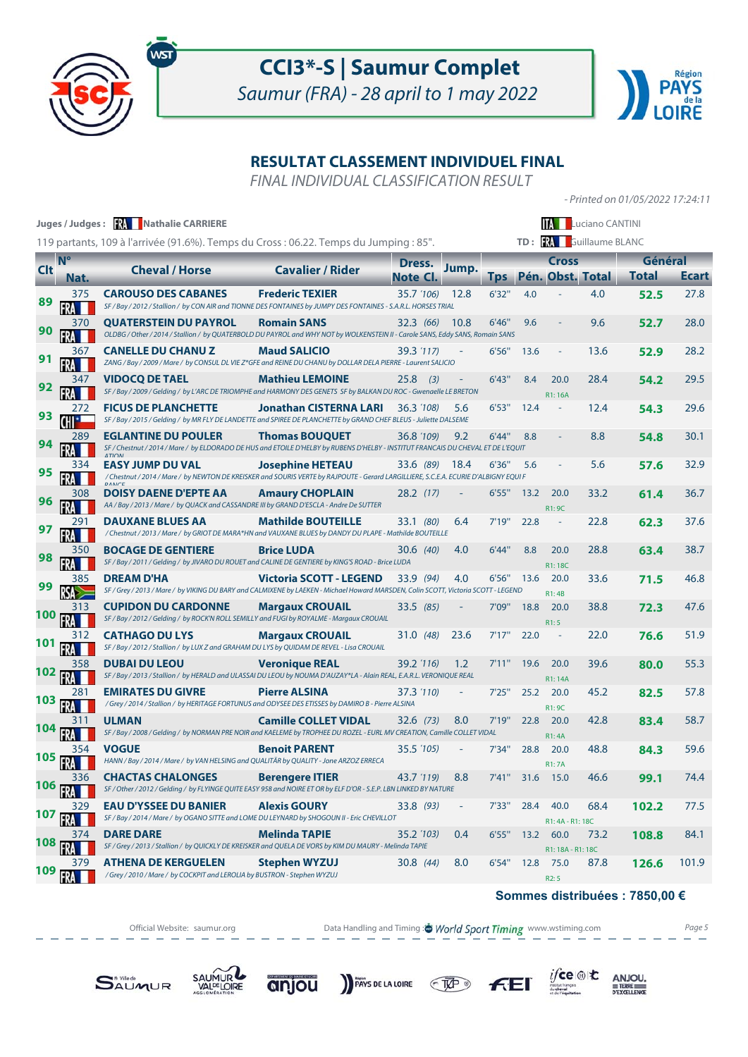



- Printed on 01/05/2022 17:24:11

### **RESULTAT CLASSEMENT INDIVIDUEL FINAL**

FINAL INDIVIDUAL CLASSIFICATION RESULT

|            |             | Juges / Judges: <b>XA Nathalie CARRIERE</b>                                                                                                                     |                               |                    |                          |             |      |                                  | <b>TAC</b> Luciano CANTINI    |                         |       |
|------------|-------------|-----------------------------------------------------------------------------------------------------------------------------------------------------------------|-------------------------------|--------------------|--------------------------|-------------|------|----------------------------------|-------------------------------|-------------------------|-------|
|            |             | 119 partants, 109 à l'arrivée (91.6%). Temps du Cross : 06.22. Temps du Jumping : 85".                                                                          |                               |                    |                          |             |      |                                  | TD: <b>RA</b> Guillaume BLANC |                         |       |
| <b>Clt</b> | <b>N°</b>   | <b>Cheval / Horse</b>                                                                                                                                           | <b>Cavalier / Rider</b>       | Dress.<br>Note Cl. | Jump.                    | <b>I</b> ps |      | <b>Cross</b><br>Pén. Obst. Total |                               | Général<br><b>Total</b> | Ecart |
| 89         | Nat.<br>375 | <b>CAROUSO DES CABANES</b><br>SF / Bay / 2012 / Stallion / by CON AIR and TIONNE DES FONTAINES by JUMPY DES FONTAINES - S.A.R.L. HORSES TRIAL                   | <b>Frederic TEXIER</b>        | 35.7 (106)         | 12.8                     | 6'32"       | 4.0  |                                  | 4.0                           | 52.5                    | 27.8  |
| 90         | 370         | <b>QUATERSTEIN DU PAYROL</b><br>OLDBG / Other / 2014 / Stallion / by QUATERBOLD DU PAYROL and WHY NOT by WOLKENSTEIN II - Carole SANS, Eddy SANS, Romain SANS   | <b>Romain SANS</b>            | 32.3(66)           | 10.8                     | 6'46''      | 9.6  |                                  | 9.6                           | 52.7                    | 28.0  |
|            | 367         | <b>CANELLE DU CHANU Z</b><br>ZANG / Bay / 2009 / Mare / by CONSUL DL VIE Z*GFE and REINE DU CHANU by DOLLAR DELA PIERRE - Laurent SALICIO                       | <b>Maud SALICIO</b>           | 39.3 (117)         |                          | 6'56"       | 13.6 |                                  | 13.6                          | 52.9                    | 28.2  |
|            | 347         | <b>VIDOCO DE TAEL</b><br>SF / Bay / 2009 / Gelding / by L'ARC DE TRIOMPHE and HARMONY DES GENETS SF by BALKAN DU ROC - Gwenaelle LE BRETON                      | <b>Mathieu LEMOINE</b>        | 25.8<br>(3)        |                          | 6'43''      | 8.4  | 20.0<br>R1: 16A                  | 28.4                          | 54.2                    | 29.5  |
|            | 272         | <b>FICUS DE PLANCHETTE</b><br>SF / Bay / 2015 / Gelding / by MR FLY DE LANDETTE and SPIREE DE PLANCHETTE by GRAND CHEF BLEUS - Juliette DALSEME                 | <b>Jonathan CISTERNA LARI</b> | 36.3 (108)         | 5.6                      | 6'53"       | 12.4 |                                  | 12.4                          | 54.3                    | 29.6  |
|            | 289         | <b>EGLANTINE DU POULER</b><br>SF / Chestnut / 2014 / Mare / by ELDORADO DE HUS and ETOILE D'HELBY by RUBENS D'HELBY - INSTITUT FRANCAIS DU CHEVAL ET DE L'EQUIT | <b>Thomas BOUQUET</b>         | 36.8 (109)         | 9.2                      | 6'44"       | 8.8  |                                  | 8.8                           | 54.8                    | 30.1  |
| 95         | 334         | <b>EASY JUMP DU VAL</b><br>/ Chestnut / 2014 / Mare / by NEWTON DE KREISKER and SOURIS VERTE by RAJPOUTE - Gerard LARGILLIERE, S.C.E.A. ECURIE D'ALBIGNY EQUI F | <b>Josephine HETEAU</b>       | 33.6 (89)          | 18.4                     | 6'36"       | 5.6  |                                  | 5.6                           | 57.6                    | 32.9  |
| 96         | 308         | <b>DOISY DAENE D'EPTE AA</b><br>AA / Bay / 2013 / Mare / by QUACK and CASSANDRE III by GRAND D'ESCLA - Andre De SUTTER                                          | <b>Amaury CHOPLAIN</b>        | 28.2 (17)          |                          | 6'55"       | 13.2 | 20.0<br>R1: 9C                   | 33.2                          | 61.4                    | 36.7  |
|            |             | <b>DAUXANE BLUES AA</b><br>/ Chestnut / 2013 / Mare / by GRIOT DE MARA*HN and VAUXANE BLUES by DANDY DU PLAPE - Mathilde BOUTEILLE                              | <b>Mathilde BOUTEILLE</b>     | 33.1 (80)          | 6.4                      | 7'19''      | 22.8 | $\sim$                           | 22.8                          | 62.3                    | 37.6  |
|            | 350         | <b>BOCAGE DE GENTIERE</b><br>SF / Bay / 2011 / Gelding / by JIVARO DU ROUET and CALINE DE GENTIERE by KING'S ROAD - Brice LUDA                                  | <b>Brice LUDA</b>             | 30.6 (40)          | 4.0                      | 6'44"       | 8.8  | 20.0<br>R1:18C                   | 28.8                          | 63.4                    | 38.7  |
|            | 385         | <b>DREAM D'HA</b><br>SF / Grey / 2013 / Mare / by VIKING DU BARY and CALMIXENE by LAEKEN - Michael Howard MARSDEN, Colin SCOTT, Victoria SCOTT - LEGEND         | Victoria SCOTT - LEGEND       | 33.9 (94)          | 4.0                      | 6'56"       | 13.6 | 20.0<br>R1:4B                    | 33.6                          | 71.5                    | 46.8  |
| 100        | 313         | <b>CUPIDON DU CARDONNE</b><br>SF / Bay / 2012 / Gelding / by ROCK'N ROLL SEMILLY and FUGI by ROYALME - Margaux CROUAIL                                          | <b>Margaux CROUAIL</b>        | 33.5 (85)          |                          | 7'09"       | 18.8 | 20.0<br>R1:5                     | 38.8                          | 72.3                    | 47.6  |
|            |             | <b>CATHAGO DU LYS</b><br>SF / Bay / 2012 / Stallion / by LUX Z and GRAHAM DU LYS by QUIDAM DE REVEL - Lisa CROUAIL                                              | <b>Margaux CROUAIL</b>        | 31.0 (48)          | 23.6                     | 7'17''      | 22.0 |                                  | 22.0                          | 76.6                    | 51.9  |
|            | 358         | <b>DUBAI DU LEOU</b><br>SF / Bay / 2013 / Stallion / by HERALD and ULASSAI DU LEOU by NOUMA D'AUZAY*LA - Alain REAL, E.A.R.L. VERONIQUE REAL                    | <b>Veronique REAL</b>         | 39.2 (116)         | 1.2                      | 7'11"       | 19.6 | 20.0<br>R1: 14A                  | 39.6                          | 80.0                    | 55.3  |
| 103        | 281         | <b>EMIRATES DU GIVRE</b><br>/ Grey / 2014 / Stallion / by HERITAGE FORTUNUS and ODYSEE DES ETISSES by DAMIRO B - Pierre ALSINA                                  | <b>Pierre ALSINA</b>          | 37.3 '110)         |                          | 7'25"       | 25.2 | 20.0<br>R1: 9C                   | 45.2                          | 82.5                    | 57.8  |
|            | 31 I        | <b>ULMAN</b><br>SF / Bay / 2008 / Gelding / by NORMAN PRE NOIR and KAELEME by TROPHEE DU ROZEL - EURL MV CREATION, Camille COLLET VIDAL                         | <b>Camille COLLET VIDAL</b>   | 32.6 (73)          | 8.0                      | 7'19''      | 22.8 | 20.0<br><b>R1:4A</b>             | 42.8                          | 83.4                    | 58.7  |
| 105        |             | <b>VOGUE</b><br>HANN / Bay / 2014 / Mare / by VAN HELSING and QUALITÄR by QUALITY - Jone ARZOZ ERRECA                                                           | <b>Benoit PARENT</b>          | 35.5 (105)         |                          | 7'34"       | 28.8 | 20.0<br><b>R1:7A</b>             | 48.8                          | 84.3                    | 59.6  |
| 106        | 336         | <b>CHACTAS CHALONGES</b><br>SF / Other / 2012 / Gelding / by FLYINGE QUITE EASY 958 and NOIRE ET OR by ELF D'OR - S.E.P. LBN LINKED BY NATURE                   | <b>Berengere ITIER</b>        | 43.7 (119)         | 8.8                      |             |      | 7'41" 31.6 15.0                  | 46.6                          | 99.1                    | 74.4  |
| 107        | 329         | <b>EAU D'YSSEE DU BANIER</b><br>SF / Bay / 2014 / Mare / by OGANO SITTE and LOME DU LEYNARD by SHOGOUN II - Eric CHEVILLOT                                      | <b>Alexis GOURY</b>           | 33.8 (93)          | $\overline{\phantom{a}}$ | 7'33"       | 28.4 | 40.0<br>R1: 4A - R1: 18C         | 68.4                          | 102.2                   | 77.5  |
| 108        | 374         | <b>DARE DARE</b><br>SF / Grey / 2013 / Stallion / by QUICKLY DE KREISKER and QUELA DE VORS by KIM DU MAURY - Melinda TAPIE                                      | <b>Melinda TAPIE</b>          | 35.2 (103)         | 0.4                      | 6'55"       |      | 13.2 60.0<br>R1: 18A - R1: 18C   | 73.2                          | 108.8                   | 84.1  |
| 109        | 379<br>FRA  | <b>ATHENA DE KERGUELEN</b><br>/ Grey / 2010 / Mare / by COCKPIT and LEROLIA by BUSTRON - Stephen WYZUJ                                                          | <b>Stephen WYZUJ</b>          | 30.8 (44)          | 8.0                      | 6'54"       | 12.8 | 75.0<br>R2:5                     | 87.8                          | 126.6                   | 101.9 |

#### **Sommes distribuées : 7850,00 €**

 $\underset{\underbrace{\text{SVDM}}{\text{GVDM}}}{\text{JCCC}}|\text{C}|\text{C}|\text{C}$ 

 $F<sub>E</sub>$ 

Official Website: saumur.org **Data Handling and Timing : World Sport Timing** www.wstiming.com Page 5